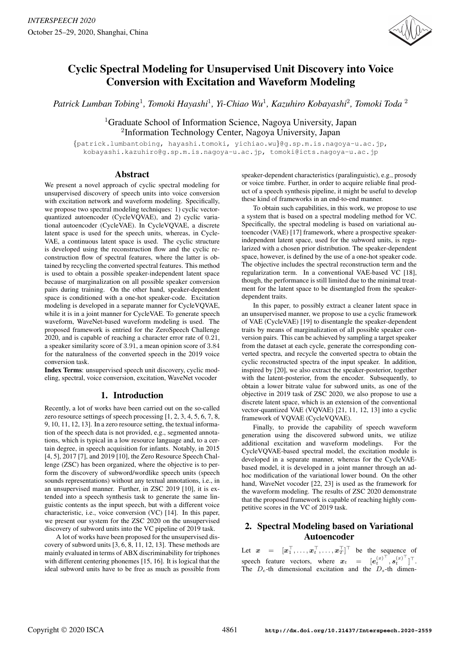

# Cyclic Spectral Modeling for Unsupervised Unit Discovery into Voice Conversion with Excitation and Waveform Modeling

*Patrick Lumban Tobing*<sup>1</sup>*, Tomoki Hayashi*<sup>1</sup>*, Yi-Chiao Wu*<sup>1</sup>*, Kazuhiro Kobayashi*<sup>2</sup>*, Tomoki Toda* <sup>2</sup>

<sup>1</sup>Graduate School of Information Science, Nagoya University, Japan <sup>2</sup>Information Technology Center, Nagoya University, Japan

{patrick.lumbantobing, hayashi.tomoki, yichiao.wu}@g.sp.m.is.nagoya-u.ac.jp, kobayashi.kazuhiro@g.sp.m.is.nagoya-u.ac.jp, tomoki@icts.nagoya-u.ac.jp

# Abstract

We present a novel approach of cyclic spectral modeling for unsupervised discovery of speech units into voice conversion with excitation network and waveform modeling. Specifically, we propose two spectral modeling techniques: 1) cyclic vectorquantized autoencoder (CycleVQVAE), and 2) cyclic variational autoencoder (CycleVAE). In CycleVQVAE, a discrete latent space is used for the speech units, whereas, in Cycle-VAE, a continuous latent space is used. The cyclic structure is developed using the reconstruction flow and the cyclic reconstruction flow of spectral features, where the latter is obtained by recycling the converted spectral features. This method is used to obtain a possible speaker-independent latent space because of marginalization on all possible speaker conversion pairs during training. On the other hand, speaker-dependent space is conditioned with a one-hot speaker-code. Excitation modeling is developed in a separate manner for CycleVQVAE, while it is in a joint manner for CycleVAE. To generate speech waveform, WaveNet-based waveform modeling is used. The proposed framework is entried for the ZeroSpeech Challenge 2020, and is capable of reaching a character error rate of 0.21, a speaker similarity score of 3.91, a mean opinion score of 3.84 for the naturalness of the converted speech in the 2019 voice conversion task.

Index Terms: unsupervised speech unit discovery, cyclic modeling, spectral, voice conversion, excitation, WaveNet vocoder

# 1. Introduction

Recently, a lot of works have been carried out on the so-called zero resource settings of speech processing [1, 2, 3, 4, 5, 6, 7, 8, 9, 10, 11, 12, 13]. In a zero resource setting, the textual information of the speech data is not provided, e.g., segmented annotations, which is typical in a low resource language and, to a certain degree, in speech acquisition for infants. Notably, in 2015 [4, 5], 2017 [7], and 2019 [10], the Zero Resource Speech Challenge (ZSC) has been organized, where the objective is to perform the discovery of subword/wordlike speech units (speech sounds representations) without any textual annotations, i.e., in an unsupervised manner. Further, in ZSC 2019 [10], it is extended into a speech synthesis task to generate the same linguistic contents as the input speech, but with a different voice characteristic, i.e., voice conversion (VC) [14]. In this paper, we present our system for the ZSC 2020 on the unsupervised discovery of subword units into the VC pipeline of 2019 task.

A lot of works have been proposed for the unsupervised discovery of subword units [3, 6, 8, 11, 12, 13]. These methods are mainly evaluated in terms of ABX discriminability for triphones with different centering phonemes [15, 16]. It is logical that the ideal subword units have to be free as much as possible from speaker-dependent characteristics (paralinguistic), e.g., prosody or voice timbre. Further, in order to acquire reliable final product of a speech synthesis pipeline, it might be useful to develop these kind of frameworks in an end-to-end manner.

To obtain such capabilities, in this work, we propose to use a system that is based on a spectral modeling method for VC. Specifically, the spectral modeling is based on variational autoencoder (VAE) [17] framework, where a prospective speakerindependent latent space, used for the subword units, is regularized with a chosen prior distribution. The speaker-dependent space, however, is defined by the use of a one-hot speaker code. The objective includes the spectral reconstruction term and the regularization term. In a conventional VAE-based VC [18], though, the performance is still limited due to the minimal treatment for the latent space to be disentangled from the speakerdependent traits.

In this paper, to possibly extract a cleaner latent space in an unsupervised manner, we propose to use a cyclic framework of VAE (CycleVAE) [19] to disentangle the speaker-dependent traits by means of marginalization of all possible speaker conversion pairs. This can be achieved by sampling a target speaker from the dataset at each cycle, generate the corresponding converted spectra, and recycle the converted spectra to obtain the cyclic reconstructed spectra of the input speaker. In addition, inspired by [20], we also extract the speaker-posterior, together with the latent-posterior, from the encoder. Subsequently, to obtain a lower bitrate value for subword units, as one of the objective in 2019 task of ZSC 2020, we also propose to use a discrete latent space, which is an extension of the conventional vector-quantized VAE (VQVAE) [21, 11, 12, 13] into a cyclic framework of VQVAE (CycleVQVAE).

Finally, to provide the capability of speech waveform generation using the discovered subword units, we utilize additional excitation and waveform modelings. For the CycleVQVAE-based spectral model, the excitation module is developed in a separate manner, whereas for the CycleVAEbased model, it is developed in a joint manner through an adhoc modification of the variational lower bound. On the other hand, WaveNet vocoder [22, 23] is used as the framework for the waveform modeling. The results of ZSC 2020 demonstrate that the proposed framework is capable of reaching highly competitive scores in the VC of 2019 task.

# 2. Spectral Modeling based on Variational **Autoencoder**

Let  $\boldsymbol{x} = [\boldsymbol{x}_1^\top, \dots, \boldsymbol{x}_t^\top, \dots, \boldsymbol{x}_T^\top]^\top$  be the sequence of Let  $x = [x_1, \ldots, x_t, \ldots, x_T]$  be the sequence of<br>speech feature vectors, where  $x_t = [e_t^{(x)^\top}, s_t^{(x)^\top}]^\top$ .<br>The *D* -th dimensional excitation and the *D* -th dimen-The  $D_e$ -th dimensional excitation and the  $D_s$ -th dimen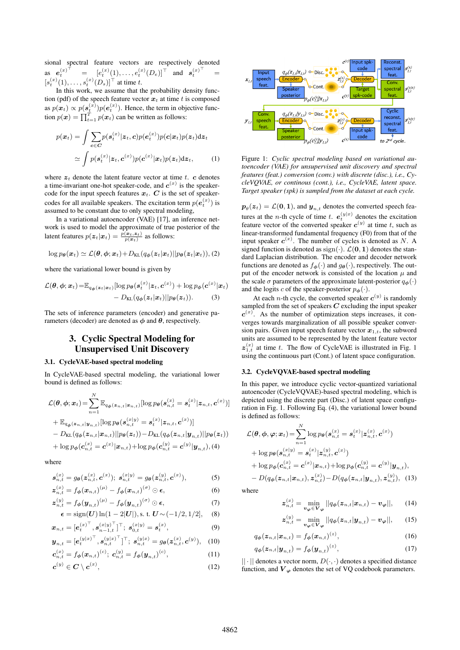sional spectral feature vectors are respectively denoted as  $e_t^{(x)^\top}$  $\begin{array}{cc} t & = & [e] \end{array}$  $\begin{bmatrix} (x) \\ t \end{bmatrix} (1), \ldots, e_t^{(x)} (D_e)]^{\top}$  and  $\mathbf{s}_t^{(x)^\top} =$  $\begin{bmatrix} (x) \\ t \end{bmatrix}$  (1),...,  $s_t^{(x)}(D_s)$ <sup> $\top$ </sup> at time t.<br>In this work, we assume that t

[s In this work, we assume that the probability density function (pdf) of the speech feature vector  $x_t$  at time t is composed<br>  $\cos n(x) \propto \frac{r(x)}{r(x)} \log(e^{(x)})$ . Hence, the term in objective funcas  $p(x_t) \propto p(s_t^{(x)}) p(e_t^{(x)})$ . Hence, the term in objective function  $p(x) = \prod^T p(x)$  on he written as follows: tion  $p(\boldsymbol{x}) = \prod_{t=1}^{T} p(\boldsymbol{x}_t)$  can be written as follows:

$$
p(\boldsymbol{x}_t) = \int \sum_{\mathbf{c} \in \mathbf{C}} p(\mathbf{s}_t^{(x)} | \mathbf{z}_t, \mathbf{c}) p(\mathbf{e}_t^{(x)}) p(\mathbf{c} | \mathbf{x}_t) p(\mathbf{z}_t) d\mathbf{z}_t
$$

$$
\simeq \int p(\mathbf{s}_t^{(x)} | \mathbf{z}_t, \mathbf{c}^{(x)}) p(\mathbf{c}^{(x)} | \mathbf{x}_t) p(\mathbf{z}_t) d\mathbf{z}_t, \tag{1}
$$

where  $z_t$  denote the latent feature vector at time t.  $c$  denotes a time-invariant one-hot speaker-code, and  $c^{(x)}$  is the speakercode for the input speech features  $x_t$ .  $C$  is the set of speakercodes for all available speakers. The excitation term  $p(e_t^{(x)})$  is<br>assumed to be constant due to only spectral modeling assumed to be constant due to only spectral modeling,

In a variational autoencoder (VAE) [17], an inference network is used to model the approximate of true posterior of the latent features  $p(\mathbf{z}_t|\mathbf{x}_t) = \frac{p(\mathbf{x}_t,\mathbf{z}_t)}{p(\mathbf{x}_t)}$  as follows:

$$
\log p_{\theta}(\boldsymbol{x}_t) \simeq \mathcal{L}(\boldsymbol{\theta}, \boldsymbol{\phi}; \boldsymbol{x}_t) + D_{\mathrm{KL}}(q_{\boldsymbol{\phi}}(\boldsymbol{z}_t|\boldsymbol{x}_t)||p_{\boldsymbol{\theta}}(\boldsymbol{z}_t|\boldsymbol{x}_t)), (2)
$$

where the variational lower bound is given by

$$
\mathcal{L}(\boldsymbol{\theta}, \boldsymbol{\phi}; \boldsymbol{x}_t) = \mathbb{E}_{q_{\boldsymbol{\phi}}(\boldsymbol{z}_t | \boldsymbol{x}_t)} [\log p_{\boldsymbol{\theta}}(\boldsymbol{s}_t^{(\boldsymbol{x})} | \boldsymbol{z}_t, \boldsymbol{c}^{(\boldsymbol{x})}) + \log p_{\boldsymbol{\phi}}(\boldsymbol{c}^{(\boldsymbol{x})} | \boldsymbol{x}_t)] - D_{\text{KL}}(q_{\boldsymbol{\phi}}(\boldsymbol{z}_t | \boldsymbol{x}_t) || p_{\boldsymbol{\theta}}(\boldsymbol{z}_t)).
$$
 (3)

The sets of inference parameters (encoder) and generative parameters (decoder) are denoted as  $\phi$  and  $\theta$ , respectively.

# 3. Cyclic Spectral Modeling for Unsupervised Unit Discovery

### 3.1. CycleVAE-based spectral modeling

In CycleVAE-based spectral modeling, the variational lower bound is defined as follows:

$$
\mathcal{L}(\theta, \phi; \mathbf{x}_t) = \sum_{n=1}^{N} \mathbb{E}_{q_{\phi}(\mathbf{z}_{n,t}|\mathbf{x}_{n,t})} [\log p_{\theta}(s_{n,t}^{(x)} = s_t^{(x)}|\mathbf{z}_{n,t}, \mathbf{c}^{(x)})]
$$
  
+  $\mathbb{E}_{q_{\phi}(\mathbf{z}_{n,t}|\mathbf{y}_{n,t})} [\log p_{\theta}(s_{n,t}^{(x|y)} = s_t^{(x)}|\mathbf{z}_{n,t}, \mathbf{c}^{(x)})]$   
-  $D_{\text{KL}}(q_{\phi}(\mathbf{z}_{n,t}|\mathbf{x}_{n,t})||p_{\theta}(\mathbf{z}_t)) - D_{\text{KL}}(q_{\phi}(\mathbf{z}_{n,t}|\mathbf{y}_{n,t})||p_{\theta}(\mathbf{z}_t))$   
+  $\log p_{\phi}(\mathbf{c}_{n,t}^{(x)} = \mathbf{c}^{(x)}|\mathbf{x}_{n,t}) + \log p_{\phi}(\mathbf{c}_{n,t}^{(y)} = \mathbf{c}^{(y)}|\mathbf{y}_{n,t}), (4)$ 

where

$$
\mathbf{s}_{n,t}^{(x)} = g_{\theta}(\mathbf{z}_{n,t}^{(x)}, \mathbf{c}^{(x)}); \ \mathbf{s}_{n,t}^{(x|y)} = g_{\theta}(\mathbf{z}_{n,t}^{(y)}, \mathbf{c}^{(x)}), \tag{5}
$$

$$
\mathbf{z}_{n,t}^{(x)} = f_{\boldsymbol{\phi}}(\boldsymbol{x}_{n,t})^{(\mu)} - f_{\boldsymbol{\phi}}(\boldsymbol{x}_{n,t})^{(\sigma)} \odot \boldsymbol{\epsilon}, \tag{6}
$$

$$
\mathbf{z}_{n,t}^{(y)} = f_{\boldsymbol{\phi}}(\mathbf{y}_{n,t})^{(\mu)} - f_{\boldsymbol{\phi}}(\mathbf{y}_{n,t})^{(\sigma)} \odot \boldsymbol{\epsilon},\tag{7}
$$

$$
\epsilon = \text{sign}(U) \ln(1 - 2|U|), \text{s. t. } U \sim (-1/2, 1/2], \quad (8)
$$

$$
\boldsymbol{x}_{n,t} = [e_t^{(x)}^\top, \boldsymbol{s}_{n-1,t}^{(x|y)}^\top]^\top; \ \boldsymbol{s}_{0,t}^{(x|y)} = \boldsymbol{s}_t^{(x)}, \tag{9}
$$

$$
\boldsymbol{y}_{n,t} = [e_t^{(y|x)^\top}, \boldsymbol{s}_{n,t}^{(y|x)^\top}]^\top; \ \boldsymbol{s}_{n,t}^{(y|x)} = g_\theta(\boldsymbol{z}_{n,t}^{(x)}, \boldsymbol{c}^{(y)}), \quad (10)
$$

$$
\mathbf{c}_{n,t}^{(x)} = f_{\phi}(\mathbf{x}_{n,t})^{(c)}; \; \mathbf{c}_{n,t}^{(y)} = f_{\phi}(\mathbf{y}_{n,t})^{(c)}, \tag{11}
$$

$$
\boldsymbol{c}^{(y)} \in \boldsymbol{C} \setminus \boldsymbol{c}^{(x)},\tag{12}
$$



Figure 1: *Cyclic spectral modeling based on variational autoencoder (VAE) for unsupervised unit discovery and spectral features (feat.) conversion (conv.) with discrete (disc.), i.e., CycleVQVAE, or continous (cont.), i.e., CycleVAE, latent space. Target speaker (spk) is sampled from the dataset at each cycle.*

 $\mathbf{p}_{\theta}(\mathbf{z}_t) = \mathcal{L}(\mathbf{0}, \mathbf{1}),$  and  $\mathbf{y}_{n,t}$  denotes the converted speech features at the *n*-th cycle of time t.  $e_t^{(y|x)}$  denotes the excitation feature vector of the converted speaker  $c^{(y)}$  at time t, such as feature vector of the converted speaker  $c^{(y)}$  at time t, such as linear-transformed fundamental frequency (F0) from that of the input speaker  $c^{(x)}$ . The number of cycles is denoted as N. A signed function is denoted as  $\sin(\lambda)$ ,  $c(\mathbf{0}, \mathbf{1})$  denotes the stansigned function is denoted as  $sign(·)$ .  $\mathcal{L}(\mathbf{0}, \mathbf{1})$  denotes the standard Laplacian distribution. The encoder and decoder network functions are denoted as  $f_{\phi}(\cdot)$  and  $g_{\theta}(\cdot)$ , respectively. The output of the encoder network is consisted of the location  $\mu$  and the scale  $\sigma$  parameters of the approximate latent-posterior  $q_{\phi}(\cdot)$ and the logits c of the speaker-posterior  $p_{\phi}(\cdot)$ .

At each *n*-th cycle, the converted speaker  $c^{(y)}$  is randomly sampled from the set of speakers **C** excluding the input speaker  $c^{(x)}$ . As the number of optimization steps increases, it converges towards marginalization of all possible speaker conversion pairs. Given input speech feature vector  $x_{1,t}$ , the subword units are assumed to be represented by the latent feature vector  $z_{1,t}^{(x)}$  at time t. The flow of CycleVAE is illustrated in Fig. 1 using the continuous part (Cont) of latent space configuration using the continuous part (Cont.) of latent space configuration.

#### 3.2. CycleVQVAE-based spectral modeling

In this paper, we introduce cyclic vector-quantized variational autoencoder (CycleVQVAE)-based spectral modeling, which is depicted using the discrete part (Disc.) of latent space configuration in Fig. 1. Following Eq. (4), the variational lower bound is defined as follows:

$$
\mathcal{L}(\theta, \phi, \varphi; \mathbf{x}_t) = \sum_{n=1}^{N} \log p_{\theta}(s_{n,t}^{(x)} = s_t^{(x)} | \mathbf{z}_{n,t}^{(x)}, \mathbf{c}^{(x)}) \n+ \log p_{\theta}(s_{n,t}^{(x|y)} = s_t^{(x)} | \mathbf{z}_{n,t}^{(y)}, \mathbf{c}^{(x)}) \n+ \log p_{\phi}(c_{n,t}^{(x)} = \mathbf{c}^{(x)} | \mathbf{x}_{n,t}) + \log p_{\phi}(c_{n,t}^{(y)} = \mathbf{c}^{(y)} | \mathbf{y}_{n,t}), \n- D(q_{\phi}(z_{n,t} | \mathbf{x}_{n,t}), \mathbf{z}_{n,t}^{(x)}) - D(q_{\phi}(z_{n,t} | \mathbf{y}_{n,t}), \mathbf{z}_{n,t}^{(y)}), \quad (13)
$$

where

$$
\mathbf{z}_{n,t}^{(x)} = \min_{\mathbf{v}_{\boldsymbol{\varphi}} \in \mathbf{V}_{\boldsymbol{\varphi}}} ||q_{\boldsymbol{\phi}}(\mathbf{z}_{n,t}|\mathbf{x}_{n,t}) - \mathbf{v}_{\boldsymbol{\varphi}}||, \qquad (14)
$$

$$
\boldsymbol{z}_{n,t}^{(y)} = \min_{\boldsymbol{v}_{\boldsymbol{\varphi}} \in \boldsymbol{V}_{\boldsymbol{\varphi}}} ||q_{\boldsymbol{\phi}}(\boldsymbol{z}_{n,t}|\boldsymbol{y}_{n,t}) - \boldsymbol{v}_{\boldsymbol{\varphi}}||, \qquad (15)
$$

$$
q_{\boldsymbol{\phi}}(\boldsymbol{z}_{n,t}|\boldsymbol{x}_{n,t}) = f_{\boldsymbol{\phi}}(\boldsymbol{x}_{n,t})^{(z)},
$$
\n(16)

$$
q_{\boldsymbol{\phi}}(\boldsymbol{z}_{n,t}|\boldsymbol{y}_{n,t}) = f_{\boldsymbol{\phi}}(\boldsymbol{y}_{n,t})^{(z)},
$$
\n(17)

 $|| \cdot ||$  denotes a vector norm,  $D(\cdot, \cdot)$  denotes a specified distance function, and  $V_{\varphi}$  denotes the set of VQ codebook parameters.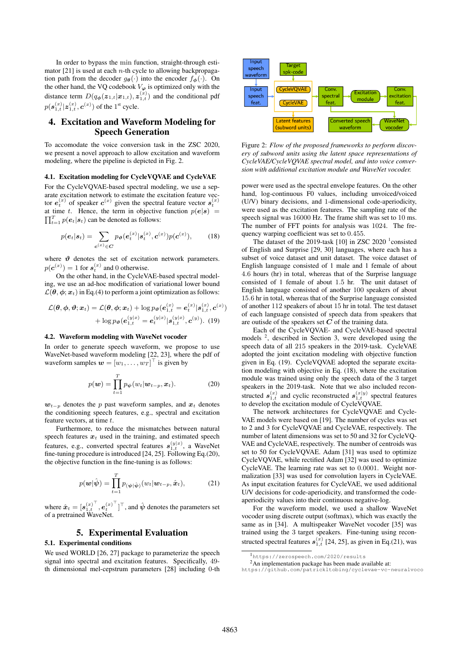In order to bypass the min function, straight-through estimator [21] is used at each  $n$ -th cycle to allowing backpropagation path from the decoder  $g_{\theta}(\cdot)$  into the encoder  $f_{\phi}(\cdot)$ . On the other hand, the VQ codebook  $V_{\varphi}$  is optimized only with the distance term  $D(q_{\phi}(z_{1,t}|\mathbf{x}_{1,t}), z_{1,t}^{(x)})$  and the conditional pdf  $p(\mathbf{s}_{1,t}^{(x)} | \mathbf{z}_{1,t}^{(x)}, \mathbf{c}^{(x)})$  of the 1<sup>st</sup> cycle.

# 4. Excitation and Waveform Modeling for Speech Generation

To accomodate the voice conversion task in the ZSC 2020, we present a novel approach to allow excitation and waveform modeling, where the pipeline is depicted in Fig. 2.

#### 4.1. Excitation modeling for CycleVQVAE and CycleVAE

For the CycleVQVAE-based spectral modeling, we use a separate excitation network to estimate the excitation feature vector  $\mathbf{s}_t^{(x)}$  of speaker  $\mathbf{c}^{(x)}$  given the spectral feature vector  $\mathbf{s}_t^{(x)}$ at time t. Hence, the term in objective function  $p(e|s)$  $\prod_{t=1}^{T} p(e_t | s_t)$  can be denoted as follows:

$$
p(e_t|s_t) = \sum_{c^{(x)} \in C} p_{\theta}(e_t^{(x)}|s_t^{(x)}, c^{(x)}) p(c^{(x)}), \quad (18)
$$

where  $\vartheta$  denotes the set of excitation network parameters.  $p(c^{(x)}) = 1$  for  $s_t^{(x)}$  and 0 otherwise.<br>On the other hand in the CycleV.

On the other hand, in the CycleVAE-based spectral modeling, we use an ad-hoc modification of variational lower bound  $\mathcal{L}(\theta, \phi; \mathbf{x}_t)$  in Eq.(4) to perform a joint optimization as follows:

$$
\mathcal{L}(\boldsymbol{\theta}, \boldsymbol{\phi}, \boldsymbol{\vartheta}; \boldsymbol{x}_t) = \mathcal{L}(\boldsymbol{\theta}, \boldsymbol{\phi}; \boldsymbol{x}_t) + \log p_{\boldsymbol{\vartheta}}(\boldsymbol{e}_{1,t}^{(x)} = \boldsymbol{e}_t^{(x)} | \boldsymbol{s}_{1,t}^{(x)}, \boldsymbol{c}^{(x)}) + \log p_{\boldsymbol{\vartheta}}(\boldsymbol{e}_{1,t}^{(y|x)} = \boldsymbol{e}_t^{(y|x)} | \boldsymbol{s}_{1,t}^{(y|x)}, \boldsymbol{c}^{(y)})
$$
 (19)

#### 4.2. Waveform modeling with WaveNet vocoder

In order to generate speech waveform, we propose to use WaveNet-based waveform modeling [22, 23], where the pdf of waveform samples  $\mathbf{w} = [w_1, \dots, w_T]^\top$  is given by

$$
p(\boldsymbol{w}) = \prod_{t=1}^{T} p_{\boldsymbol{\psi}}(w_t | \boldsymbol{w}_{t-p}, \boldsymbol{x}_t).
$$
 (20)

 $w_{t-p}$  denotes the p past waveform samples, and  $x_t$  denotes the conditioning speech features, e.g., spectral and excitation feature vectors, at time t.

Furthermore, to reduce the mismatches between natural speech features  $x_t$  used in the training, and estimated speech features, e.g., converted spectral features  $s_{1,t}^{(y|x)}$ , a WaveNet fine-tuning procedure is introduced [24, 25]. Following Eq.(20), the objective function in the fine-tuning is as follows:

$$
p(\boldsymbol{w}|\hat{\boldsymbol{\psi}}) = \prod_{t=1}^{T} p_{(\boldsymbol{\psi}|\hat{\boldsymbol{\psi}})}(w_t|\boldsymbol{w}_{t-p}, \hat{\boldsymbol{x}}_t),
$$
 (21)

where  $\hat{x}_t = [s_{1,t}^{(x)}^\top, e_t^{(x)}^\top]^\top$ , and  $\hat{\psi}$  denotes the parameters set of a pretrained WaveNet.

# 5. Experimental Evaluation

### 5.1. Experimental conditions

We used WORLD [26, 27] package to parameterize the speech signal into spectral and excitation features. Specifically, 49 th dimensional mel-cepstrum parameters [28] including 0-th



Figure 2: *Flow of the proposed frameworks to perform discovery of subword units using the latent space representations of CycleVAE/CycleVQVAE spectral model, and into voice conversion with additional excitation module and WaveNet vocoder.*

power were used as the spectral envelope features. On the other hand, log-continuous F0 values, including unvoiced/voiced (U/V) binary decisions, and 1-dimensional code-aperiodicity, were used as the excitation features. The sampling rate of the speech signal was 16000 Hz. The frame shift was set to 10 ms. The number of FFT points for analysis was 1024. The frequency warping coefficient was set to 0.455.

The dataset of the 2019-task  $[10]$  in ZSC 2020<sup>1</sup> consisted of English and Surprise [29, 30] languages, where each has a subset of voice dataset and unit dataset. The voice dataset of English language consisted of 1 male and 1 female of about 4.6 hours (hr) in total, whereas that of the Surprise language consisted of 1 female of about 1.5 hr. The unit dataset of English language consisted of another 100 speakers of about 15.6 hr in total, whereas that of the Surprise language consisted of another 112 speakers of about 15 hr in total. The test dataset of each language consisted of speech data from speakers that are outisde of the speakers set **C** of the training data.

Each of the CycleVQVAE- and CycleVAE-based spectral models <sup>2</sup>, described in Section 3, were developed using the speech data of all 215 speakers in the 2019-task. CycleVAE adopted the joint excitation modeling with objective function given in Eq. (19). CycleVQVAE adopted the separate excitation modeling with objective in Eq. (18), where the excitation module was trained using only the speech data of the 3 target speakers in the 2019-task. Note that we also included reconstructed  $s_{1,t}^{(x)}$  and cyclic reconstructed  $s_{1,t}^{(x|y)}$  spectral features to develop the excitation module of CycleVQVAE.

The network architectures for CycleVQVAE and Cycle-VAE models were based on [19]. The number of cycles was set to 2 and 3 for CycleVQVAE and CycleVAE, respectively. The number of latent dimensions was set to 50 and 32 for CycleVQ-VAE and CycleVAE, respectively. The number of centroids was set to 50 for CycleVQVAE. Adam [31] was used to optimize CycleVQVAE, while rectified Adam [32] was used to optimize CycleVAE. The learning rate was set to 0.0001. Weight normalization [33] was used for convolution layers in CycleVAE. As input excitation features for CycleVAE, we used additional U/V decisions for code-aperiodicity, and transformed the codeaperiodicity values into their continuous negative-log.

For the waveform model, we used a shallow WaveNet vocoder using discrete output (softmax), which was exactly the same as in [34]. A multispeaker WaveNet vocoder [35] was trained using the 3 target speakers. Fine-tuning using reconstructed spectral features  $s_{1,t}^{(x)}$  [24, 25], as given in Eq.(21), was

<sup>&</sup>lt;sup>1</sup>https://zerospeech.com/2020/results

<sup>&</sup>lt;sup>2</sup>An implementation package has been made available at:

https://github.com/patrickltobing/cyclevae-vc-neuralvoco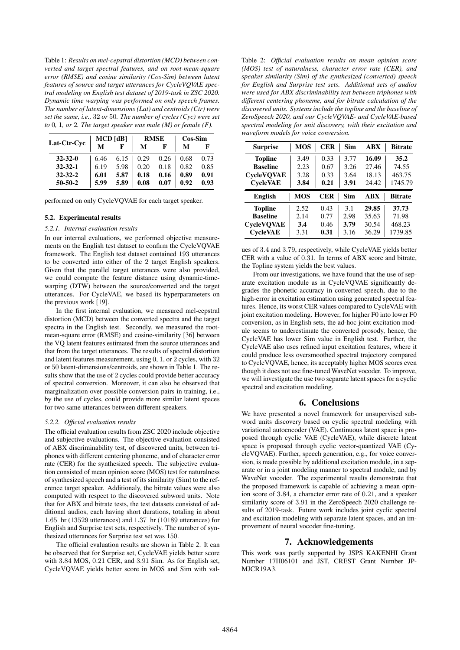Table 1: *Results on mel-cepstral distortion (MCD) between converted and target spectral features, and on root-mean-square error (RMSE) and cosine similarity (Cos-Sim) between latent features of source and target utterances for CycleVQVAE spectral modeling on English test dataset of 2019-task in ZSC 2020. Dynamic time warping was performed on only speech frames. The number of latent-dimensions (Lat) and centroids (Ctr) were set the same, i.e.,* 32 *or* 50*. The number of cycles (Cyc) were set to* 0*,* 1*, or* 2*. The target speaker was male (M) or female (F).*

|               | $MCD$ [dB] |      | <b>RMSE</b> |      | Cos-Sim |      |
|---------------|------------|------|-------------|------|---------|------|
| Lat-Ctr-Cvc   | м          | F    | М           | F    | М       |      |
| $32 - 32 - 0$ | 6.46       | 6.15 | 0.29        | 0.26 | 0.68    | 0.73 |
| $32 - 32 - 1$ | 6.19       | 5.98 | 0.20        | 0.18 | 0.82    | 0.85 |
| $32 - 32 - 2$ | 6.01       | 5.87 | 0.18        | 0.16 | 0.89    | 0.91 |
| $50 - 50 - 2$ | 5.99       | 5.89 | 0.08        | 0.07 | 0.92    | 0.93 |

performed on only CycleVQVAE for each target speaker.

#### 5.2. Experimental results

#### *5.2.1. Internal evaluation results*

In our internal evaluations, we performed objective measurements on the English test dataset to confirm the CycleVQVAE framework. The English test dataset contained 193 utterances to be converted into either of the 2 target English speakers. Given that the parallel target utterances were also provided, we could compute the feature distance using dynamic-timewarping (DTW) between the source/converted and the target utterances. For CycleVAE, we based its hyperparameters on the previous work [19].

In the first internal evaluation, we measured mel-cepstral distortion (MCD) between the converted spectra and the target spectra in the English test. Secondly, we measured the rootmean-square error (RMSE) and cosine-similarity [36] between the VQ latent features estimated from the source utterances and that from the target utterances. The results of spectral distortion and latent features measurement, using 0, 1, or 2 cycles, with 32 or 50 latent-dimensions/centroids, are shown in Table 1. The results show that the use of 2 cycles could provide better accuracy of spectral conversion. Moreover, it can also be observed that marginalization over possible conversion pairs in training, i.e., by the use of cycles, could provide more similar latent spaces for two same utterances between different speakers.

#### *5.2.2. Official evaluation results*

The official evaluation results from ZSC 2020 include objective and subjective evaluations. The objective evaluation consisted of ABX discriminability test, of discovered units, between triphones with different centering phoneme, and of character error rate (CER) for the synthesized speech. The subjective evaluation consisted of mean opinion score (MOS) test for naturalness of synthesized speech and a test of its similarity (Sim) to the reference target speaker. Additionaly, the bitrate values were also computed with respect to the discovered subword units. Note that for ABX and bitrate tests, the test datasets consisted of additional audios, each having short durations, totaling in about 1.65 hr (13529 utterances) and 1.37 hr (10189 utterances) for English and Surprise test sets, respectively. The number of synthesized utterances for Surprise test set was 150.

The official evaluation results are shown in Table 2. It can be observed that for Surprise set, CycleVAE yields better score with 3.84 MOS, 0.21 CER, and 3.91 Sim. As for English set, CycleVQVAE yields better score in MOS and Sim with val-

Table 2: *Official evaluation results on mean opinion score (MOS) test of naturalness, character error rate (CER), and speaker similarity (Sim) of the synthesized (converted) speech for English and Surprise test sets. Additional sets of audios were used for ABX discriminability test between triphones with different centering phoneme, and for bitrate calculation of the discovered units. Systems include the topline and the baseline of ZeroSpeech 2020, and our CycleVQVAE- and CycleVAE-based spectral modeling for unit discovery, with their excitation and waveform models for voice conversion.*

| <b>Surprise</b>   | <b>MOS</b> | <b>CER</b> | Sim  | <b>ABX</b> | <b>Bitrate</b> |
|-------------------|------------|------------|------|------------|----------------|
| <b>Topline</b>    | 3.49       | 0.33       | 3.77 | 16.09      | 35.2           |
| <b>Baseline</b>   | 2.23       | 0.67       | 3.26 | 27.46      | 74.55          |
| <b>CycleVOVAE</b> | 3.28       | 0.33       | 3.64 | 18.13      | 463.75         |
| <b>CycleVAE</b>   | 3.84       | 0.21       | 3.91 | 24.42      | 1745.79        |
|                   |            |            |      |            |                |
| <b>English</b>    | <b>MOS</b> | <b>CER</b> | Sim  | ABX        | <b>Bitrate</b> |
| <b>Topline</b>    | 2.52       | 0.43       | 3.1  | 29.85      | 37.73          |
| <b>Baseline</b>   | 2.14       | 0.77       | 2.98 | 35.63      | 71.98          |
| <b>CycleVQVAE</b> | 3.4        | 0.46       | 3.79 | 30.54      | 468.23         |

ues of 3.4 and 3.79, respectively, while CycleVAE yields better CER with a value of 0.31. In terms of ABX score and bitrate, the Topline system yields the best values.

From our investigations, we have found that the use of separate excitation module as in CycleVQVAE significantly degrades the phonetic accuracy in converted speech, due to the high-error in excitation estimation using generated spectral features. Hence, its worst CER values compared to CycleVAE with joint excitation modeling. However, for higher F0 into lower F0 conversion, as in English sets, the ad-hoc joint excitation module seems to underestimate the converted prosody, hence, the CycleVAE has lower Sim value in English test. Further, the CycleVAE also uses refined input excitation features, where it could produce less oversmoothed spectral trajectory compared to CycleVQVAE, hence, its acceptably higher MOS scores even though it does not use fine-tuned WaveNet vocoder. To improve, we will investigate the use two separate latent spaces for a cyclic spectral and excitation modeling.

### 6. Conclusions

We have presented a novel framework for unsupervised subword units discovery based on cyclic spectral modeling with variational autoencoder (VAE). Continuous latent space is proposed through cyclic VAE (CycleVAE), while discrete latent space is proposed through cyclic vector-quantized VAE (CycleVQVAE). Further, speech generation, e.g., for voice conversion, is made possible by additional excitation module, in a separate or in a joint modeling manner to spectral module, and by WaveNet vocoder. The experimental results demonstrate that the proposed framework is capable of achieving a mean opinion score of 3.84, a character error rate of 0.21, and a speaker similarity score of 3.91 in the ZeroSpeech 2020 challenge results of 2019-task. Future work includes joint cyclic spectral and excitation modeling with separate latent spaces, and an improvement of neural vocoder fine-tuning.

## 7. Acknowledgements

This work was partly supported by JSPS KAKENHI Grant Number 17H06101 and JST, CREST Grant Number JP-MJCR19A3.